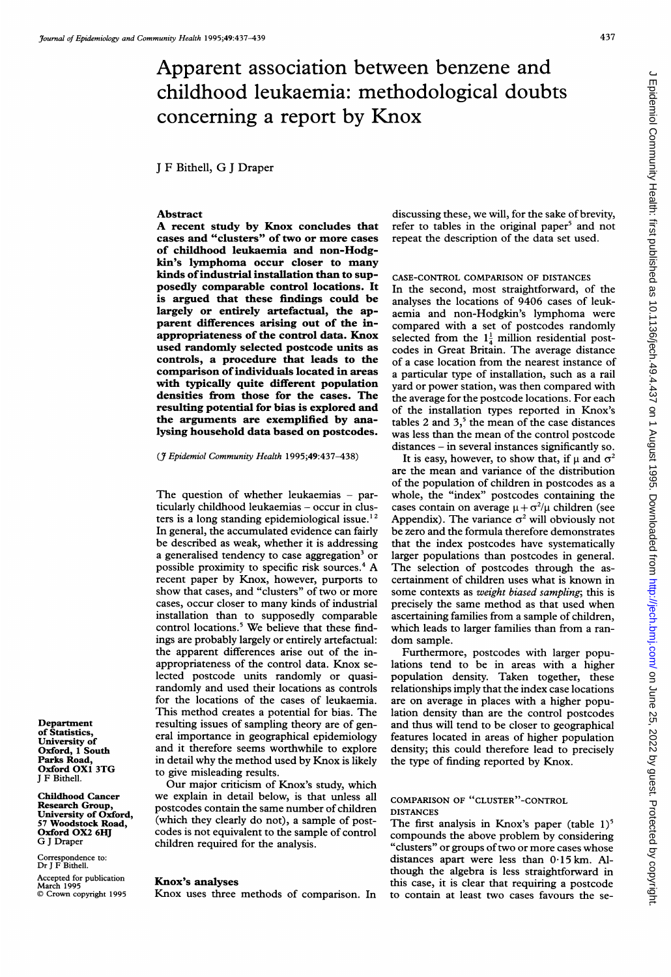# Apparent association between benzene and childhood leukaemia: methodological doubts concerning a report by Knox

<sup>J</sup> F Bithell, G <sup>J</sup> Draper

#### Abstract

A recent study by Knox concludes that cases and "clusters" of two or more cases of childhood leukaemia and non-Hodgkin's lymphoma occur closer to many kinds ofindustrial installation than to supposedly comparable control locations. It is argued that these findings could be largely or entirely artefactual, the apparent differences arising out of the inappropriateness of the control data. Knox used randomly selected postcode units as controls, a procedure that leads to the comparison of individuals located in areas with typically quite different population densities from those for the cases. The resulting potential for bias is explored and the arguments are exemplified by analysing household data based on postcodes.

(J7 Epidemiol Community Health 1995;49:437-438)

The question of whether leukaemias - particularly childhood leukaemias - occur in clusters is a long standing epidemiological issue.'2 In general, the accumulated evidence can fairly be described as weak, whether it is addressing a generalised tendency to case aggregation<sup>3</sup> or possible proximity to specific risk sources.4 A recent paper by Knox, however, purports to show that cases, and "clusters" of two or more cases, occur closer to many kinds of industrial installation than to supposedly comparable control locations.<sup>5</sup> We believe that these findings are probably largely or entirely artefactual: the apparent differences arise out of the inappropriateness of the control data. Knox selected postcode units randomly or quasirandomly and used their locations as controls for the locations of the cases of leukaemia. This method creates a potential for bias. The resulting issues of sampling theory are of general importance in geographical epidemiology and it therefore seems worthwhile to explore in detail why the method used by Knox is likely to give misleading results.

Our major criticism of Knox's study, which we explain in detail below, is that unless all postcodes contain the same number of children (which they clearly do not), a sample of postcodes is not equivalent to the sample of control children required for the analysis.

#### Knox's analyses

Knox uses three methods of comparison. In

discussing these, we will, for the sake of brevity, refer to tables in the original paper<sup>5</sup> and not repeat the description of the data set used.

#### CASE-CONTROL COMPARISON OF DISTANCES

In the second, most straightforward, of the analyses the locations of 9406 cases of leukaemia and non-Hodgkin's lymphoma were compared with a set of postcodes randomly selected from the  $1\frac{1}{4}$  million residential postcodes in Great Britain. The average distance of a case location from the nearest instance of a particular type of installation, such as a rail yard or power station, was then compared with the average for the postcode locations. For each of the installation types reported in Knox's tables 2 and  $3<sup>5</sup>$ , the mean of the case distances was less than the mean of the control postcode distances - in several instances significantly so.

It is easy, however, to show that, if  $\mu$  and  $\sigma^2$ are the mean and variance of the distribution of the population of children in postcodes as a whole, the "index" postcodes containing the cases contain on average  $\mu + \sigma^2/\mu$  children (see Appendix). The variance  $\sigma^2$  will obviously not be zero and the formula therefore demonstrates that the index postcodes have systematically larger populations than postcodes in general. The selection of postcodes through the ascertainment of children uses what is known in some contexts as weight biased sampling; this is precisely the same method as that used when ascertaining families from a sample of children, which leads to larger families than from a random sample.

Furthermore, postcodes with larger populations tend to be in areas with a higher population density. Taken together, these relationships imply that the index case locations are on average in places with a higher population density than are the control postcodes and thus will tend to be closer to geographical features located in areas of higher population density; this could therefore lead to precisely the type of finding reported by Knox.

#### COMPARISON OF "CLUSTER"-CONTROL DISTANCES

The first analysis in Knox's paper (table  $1$ )<sup>5</sup> compounds the above problem by considering 'clusters" or groups of two or more cases whose distances apart were less than 0-15 km. Although the algebra is less straightforward in this case, it is clear that requiring a postcode to contain at least two cases favours the se-

Department of Statistics, University of Oxford, <sup>1</sup> South Parks Road, Oxford OXI 3TG <sup>J</sup> F Bithell.

Childhood Cancer Research Group, University of Oxford, 57 Woodstock Road, Oxford OX2 6HJ G <sup>J</sup> Draper

Correspondence to: Dr <sup>J</sup> F Bithell.

Accepted for publication March 1995 Crown copyright 1995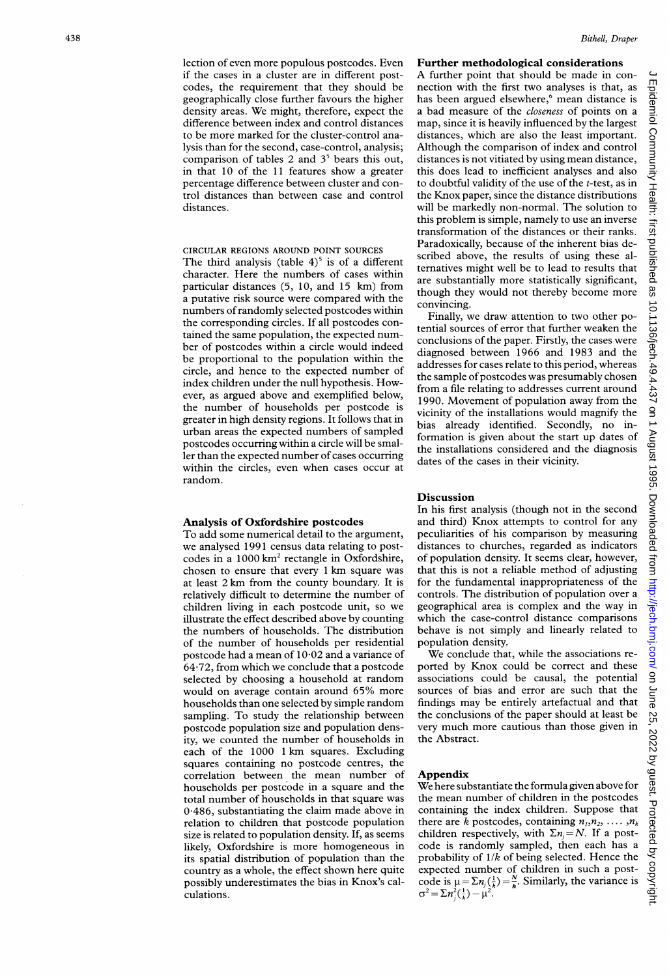lection of even more populous postcodes. Even if the cases in a cluster are in different postcodes, the requirement that they should be geographically close further favours the higher density areas. We might, therefore, expect the difference between index and control distances to be more marked for the cluster-control analysis than for the second, case-control, analysis; comparison of tables 2 and  $3^{\circ}$  bears this out, in that 10 of the 11 features show a greater percentage difference between cluster and control distances than between case and control distances.

#### CIRCULAR REGIONS AROUND POINT SOURCES The third analysis (table  $4$ )<sup>3</sup> is of a different character. Here the numbers of cases within particular distances (5, 10, and 15 km) from a putative risk source were compared with the numbers of randomly selected postcodes within the corresponding circles. If all postcodes contained the same population, the expected number of postcodes within a circle would indeed be proportional to the population within the circle, and hence to the expected number of index children under the null hypothesis. However, as argued above and exemplified below, the number of households per postcode is greater in high density regions. It follows that in urban areas the expected numbers of sampled postcodes occurring within a circle will be smaller than the expected number of cases occurring within the circles, even when cases occur at random.

#### Analysis of Oxfordshire postcodes

To add some numerical detail to the argument, we analysed 1991 census data relating to postcodes in a 1000 km<sup>2</sup> rectangle in Oxfordshire, chosen to ensure that every <sup>1</sup> km square was at least <sup>2</sup> km from the county boundary. It is relatively difficult to determine the number of children living in each postcode unit, so we illustrate the effect described above by counting the numbers of households. The distribution of the number of households per residential postcode had <sup>a</sup> mean of 10-02 and a variance of 64-72, from which we conclude that a postcode selected by choosing a household at random would on average contain around 65% more households than one selected by simple random sampling. To study the relationship between postcode population size and population density, we counted the number of households in each of the 1000 <sup>1</sup> km squares. Excluding squares containing no postcode centres, the correlation between the mean number of households per postcode in a square and the total number of households in that square was 0-486, substantiating the claim made above in relation to children that postcode population size is related to population density. If, as seems likely, Oxfordshire is more homogeneous in its spatial distribution of population than the country as a whole, the effect shown here quite possibly underestimates the bias in Knox's calculations.

#### Bithell, Draper

## Further methodological considerations <sup>A</sup> further point that should be made in con-

nection with the first two analyses is that, as has been argued elsewhere,<sup>6</sup> mean distance is a bad measure of the closeness of points on <sup>a</sup> map, since it is heavily influenced by the largest distances, which are also the least important. Although the comparison of index and control distances is not vitiated by using mean distance, this does lead to inefficient analyses and also to doubtful validity of the use of the  $t$ -test, as in the Knox paper, since the distance distributions will be markedly non-normal. The solution to this problem is simple, namely to use an inverse transformation of the distances or their ranks. Paradoxically, because of the inherent bias described above, the results of using these alternatives might well be to lead to results that are substantially more statistically significant, though they would not thereby become more convincing.

Finally, we draw attention to two other potential sources of error that further weaken the conclusions of the paper. Firstly, the cases were diagnosed between 1966 and 1983 and the addresses for cases relate to this period, whereas the sample of postcodes was presumably chosen from a file relating to addresses current around 1990. Movement of population away from the vicinity of the installations would magnify the bias already identified. Secondly, no information is given about the start up dates of the installations considered and the diagnosis dates of the cases in their vicinity.

#### Discussion

In his first analysis (though not in the second and third) Knox attempts to control for any peculiarities of his comparison by measuring distances to churches, regarded as indicators of population density. It seems clear, however, that this is not a reliable method of adjusting for the fundamental inappropriateness of the controls. The distribution of population over a geographical area is complex and the way in which the case-control distance comparisons behave is not simply and linearly related to population density.

We conclude that, while the associations reported by Knox could be correct and these associations could be causal, the potential sources of bias and error are such that the findings may be entirely artefactual and that the conclusions of the paper should at least be very much more cautious than those given in the Abstract.

#### Appendix

We here substantiate the formula given above for the mean number of children in the postcodes containing the index children. Suppose that there are k postcodes, containing  $n_1, n_2, \ldots, n_k$ children respectively, with  $\Sigma n_j = N$ . If a postcode is randomly sampled, then each has a probability of  $1/k$  of being selected. Hence the expected number of children in such a postcode is  $\mu = \sum_{i,j}(\frac{1}{k})=\frac{1}{k}$ . Similarly, the variance is